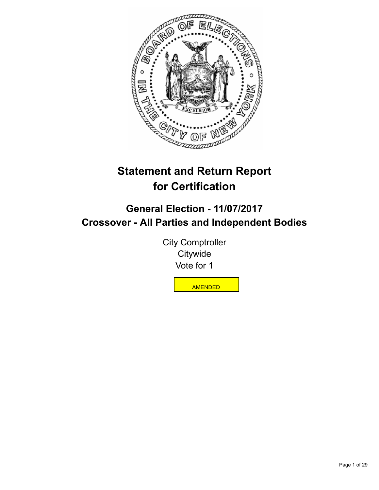

# **Statement and Return Report for Certification**

# **General Election - 11/07/2017 Crossover - All Parties and Independent Bodies**

City Comptroller **Citywide** Vote for 1

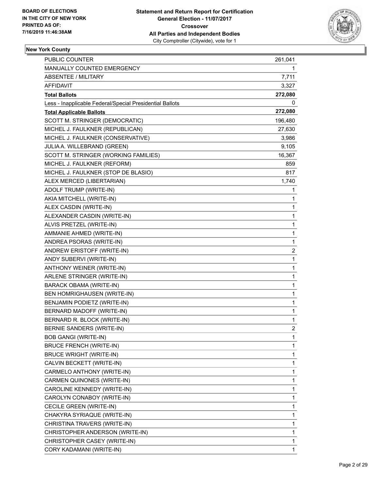

| <b>PUBLIC COUNTER</b>                                    | 261,041        |
|----------------------------------------------------------|----------------|
| MANUALLY COUNTED EMERGENCY                               | 1              |
| <b>ABSENTEE / MILITARY</b>                               | 7,711          |
| <b>AFFIDAVIT</b>                                         | 3,327          |
| <b>Total Ballots</b>                                     | 272,080        |
| Less - Inapplicable Federal/Special Presidential Ballots | 0              |
| <b>Total Applicable Ballots</b>                          | 272,080        |
| SCOTT M. STRINGER (DEMOCRATIC)                           | 196,480        |
| MICHEL J. FAULKNER (REPUBLICAN)                          | 27,630         |
| MICHEL J. FAULKNER (CONSERVATIVE)                        | 3,986          |
| JULIA A. WILLEBRAND (GREEN)                              | 9,105          |
| SCOTT M. STRINGER (WORKING FAMILIES)                     | 16,367         |
| MICHEL J. FAULKNER (REFORM)                              | 859            |
| MICHEL J. FAULKNER (STOP DE BLASIO)                      | 817            |
| ALEX MERCED (LIBERTARIAN)                                | 1,740          |
| ADOLF TRUMP (WRITE-IN)                                   | 1              |
| AKIA MITCHELL (WRITE-IN)                                 | 1              |
| ALEX CASDIN (WRITE-IN)                                   | 1              |
| ALEXANDER CASDIN (WRITE-IN)                              | $\mathbf{1}$   |
| ALVIS PRETZEL (WRITE-IN)                                 | 1              |
| AMMANIE AHMED (WRITE-IN)                                 | $\mathbf{1}$   |
| ANDREA PSORAS (WRITE-IN)                                 | $\mathbf{1}$   |
| ANDREW ERISTOFF (WRITE-IN)                               | 2              |
| ANDY SUBERVI (WRITE-IN)                                  | $\mathbf{1}$   |
| ANTHONY WEINER (WRITE-IN)                                | $\mathbf{1}$   |
| ARLENE STRINGER (WRITE-IN)                               | 1              |
| BARACK OBAMA (WRITE-IN)                                  | $\mathbf{1}$   |
| BEN HOMRIGHAUSEN (WRITE-IN)                              | $\mathbf{1}$   |
| BENJAMIN PODIETZ (WRITE-IN)                              | 1              |
| BERNARD MADOFF (WRITE-IN)                                | 1              |
| BERNARD R. BLOCK (WRITE-IN)                              | $\mathbf{1}$   |
| BERNIE SANDERS (WRITE-IN)                                | $\overline{c}$ |
| <b>BOB GANGI (WRITE-IN)</b>                              | 1              |
| BRUCE FRENCH (WRITE-IN)                                  | 1              |
| <b>BRUCE WRIGHT (WRITE-IN)</b>                           | 1              |
| CALVIN BECKETT (WRITE-IN)                                | 1              |
| CARMELO ANTHONY (WRITE-IN)                               | $\mathbf{1}$   |
| CARMEN QUINONES (WRITE-IN)                               | 1              |
| CAROLINE KENNEDY (WRITE-IN)                              | 1              |
| CAROLYN CONABOY (WRITE-IN)                               | 1              |
| CECILE GREEN (WRITE-IN)                                  | 1              |
| CHAKYRA SYRIAQUE (WRITE-IN)                              | 1              |
| CHRISTINA TRAVERS (WRITE-IN)                             | $\mathbf{1}$   |
| CHRISTOPHER ANDERSON (WRITE-IN)                          | 1              |
| CHRISTOPHER CASEY (WRITE-IN)                             | 1              |
| CORY KADAMANI (WRITE-IN)                                 | 1              |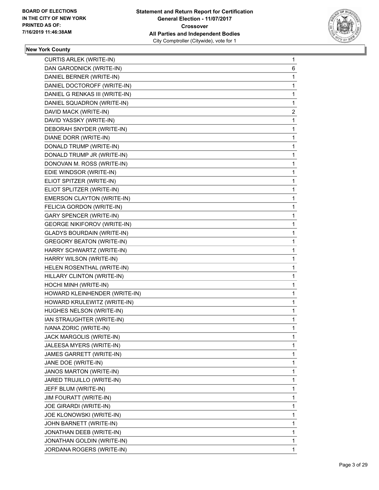

| <b>CURTIS ARLEK (WRITE-IN)</b>     | 1           |
|------------------------------------|-------------|
| DAN GARODNICK (WRITE-IN)           | 6           |
| DANIEL BERNER (WRITE-IN)           | 1           |
| DANIEL DOCTOROFF (WRITE-IN)        | 1           |
| DANIEL G RENKAS III (WRITE-IN)     | 1           |
| DANIEL SQUADRON (WRITE-IN)         | 1           |
| DAVID MACK (WRITE-IN)              | 2           |
| DAVID YASSKY (WRITE-IN)            | 1           |
| DEBORAH SNYDER (WRITE-IN)          | 1           |
| DIANE DORR (WRITE-IN)              | 1           |
| DONALD TRUMP (WRITE-IN)            | 1           |
| DONALD TRUMP JR (WRITE-IN)         | 1           |
| DONOVAN M. ROSS (WRITE-IN)         | 1           |
| EDIE WINDSOR (WRITE-IN)            | 1           |
| ELIOT SPITZER (WRITE-IN)           | 1           |
| ELIOT SPLITZER (WRITE-IN)          | 1           |
| EMERSON CLAYTON (WRITE-IN)         | 1           |
| FELICIA GORDON (WRITE-IN)          | 1           |
| GARY SPENCER (WRITE-IN)            | 1           |
| <b>GEORGE NIKIFOROV (WRITE-IN)</b> | 1           |
| <b>GLADYS BOURDAIN (WRITE-IN)</b>  | 1           |
| <b>GREGORY BEATON (WRITE-IN)</b>   | 1           |
| HARRY SCHWARTZ (WRITE-IN)          | 1           |
| HARRY WILSON (WRITE-IN)            | 1           |
| HELEN ROSENTHAL (WRITE-IN)         | 1           |
| HILLARY CLINTON (WRITE-IN)         | 1           |
| HOCHI MINH (WRITE-IN)              | 1           |
| HOWARD KLEINHENDER (WRITE-IN)      | 1           |
| HOWARD KRULEWITZ (WRITE-IN)        | 1           |
| HUGHES NELSON (WRITE-IN)           | 1           |
| IAN STRAUGHTER (WRITE-IN)          | 1           |
| IVANA ZORIC (WRITE-IN)             | 1           |
| JACK MARGOLIS (WRITE-IN)           | 1           |
| JALEESA MYERS (WRITE-IN)           | 1           |
| JAMES GARRETT (WRITE-IN)           | 1           |
| JANE DOE (WRITE-IN)                | 1           |
| JANOS MARTON (WRITE-IN)            | 1           |
| JARED TRUJILLO (WRITE-IN)          | 1           |
| JEFF BLUM (WRITE-IN)               | 1           |
| <b>JIM FOURATT (WRITE-IN)</b>      | 1           |
| JOE GIRARDI (WRITE-IN)             | 1           |
| JOE KLONOWSKI (WRITE-IN)           | 1           |
| JOHN BARNETT (WRITE-IN)            | 1           |
| JONATHAN DEEB (WRITE-IN)           | 1           |
| JONATHAN GOLDIN (WRITE-IN)         | 1           |
| JORDANA ROGERS (WRITE-IN)          | $\mathbf 1$ |
|                                    |             |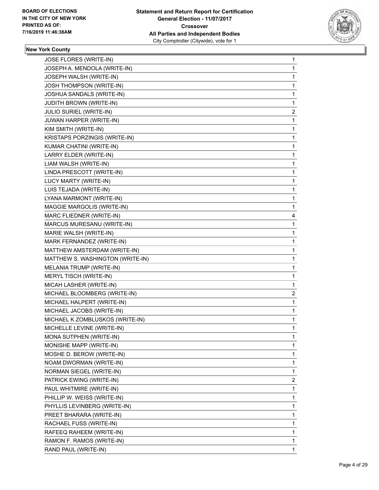

| JOSE FLORES (WRITE-IN)           | 1 |
|----------------------------------|---|
| JOSEPH A. MENDOLA (WRITE-IN)     | 1 |
| JOSEPH WALSH (WRITE-IN)          | 1 |
| JOSH THOMPSON (WRITE-IN)         | 1 |
| JOSHUA SANDALS (WRITE-IN)        | 1 |
| <b>JUDITH BROWN (WRITE-IN)</b>   | 1 |
| JULIO SURIEL (WRITE-IN)          | 2 |
| JUWAN HARPER (WRITE-IN)          | 1 |
| KIM SMITH (WRITE-IN)             | 1 |
| KRISTAPS PORZINGIS (WRITE-IN)    | 1 |
| KUMAR CHATINI (WRITE-IN)         | 1 |
| LARRY ELDER (WRITE-IN)           | 1 |
| LIAM WALSH (WRITE-IN)            | 1 |
| LINDA PRESCOTT (WRITE-IN)        | 1 |
| LUCY MARTY (WRITE-IN)            | 1 |
| LUIS TEJADA (WRITE-IN)           | 1 |
| LYANA MARMONT (WRITE-IN)         | 1 |
| MAGGIE MARGOLIS (WRITE-IN)       | 1 |
| MARC FLIEDNER (WRITE-IN)         | 4 |
| MARCUS MURESANU (WRITE-IN)       | 1 |
| MARIE WALSH (WRITE-IN)           | 1 |
| MARK FERNANDEZ (WRITE-IN)        | 1 |
| MATTHEW AMSTERDAM (WRITE-IN)     | 1 |
| MATTHEW S. WASHINGTON (WRITE-IN) | 1 |
| MELANIA TRUMP (WRITE-IN)         | 1 |
| MERYL TISCH (WRITE-IN)           | 1 |
| MICAH LASHER (WRITE-IN)          | 1 |
| MICHAEL BLOOMBERG (WRITE-IN)     | 2 |
| MICHAEL HALPERT (WRITE-IN)       | 1 |
| MICHAEL JACOBS (WRITE-IN)        | 1 |
| MICHAEL K ZOMBLUSKOS (WRITE-IN)  | 1 |
| MICHELLE LEVINE (WRITE-IN)       | 1 |
| MONA SUTPHEN (WRITE-IN)          | 1 |
| MONISHE MAPP (WRITE-IN)          | 1 |
| MOSHE D. BEROW (WRITE-IN)        | 1 |
| NOAM DWORMAN (WRITE-IN)          | 1 |
| NORMAN SIEGEL (WRITE-IN)         | 1 |
| PATRICK EWING (WRITE-IN)         | 2 |
| PAUL WHITMIRE (WRITE-IN)         | 1 |
| PHILLIP W. WEISS (WRITE-IN)      | 1 |
| PHYLLIS LEVINBERG (WRITE-IN)     | 1 |
| PREET BHARARA (WRITE-IN)         | 1 |
| RACHAEL FUSS (WRITE-IN)          | 1 |
| RAFEEQ RAHEEM (WRITE-IN)         | 1 |
| RAMON F. RAMOS (WRITE-IN)        | 1 |
| RAND PAUL (WRITE-IN)             | 1 |
|                                  |   |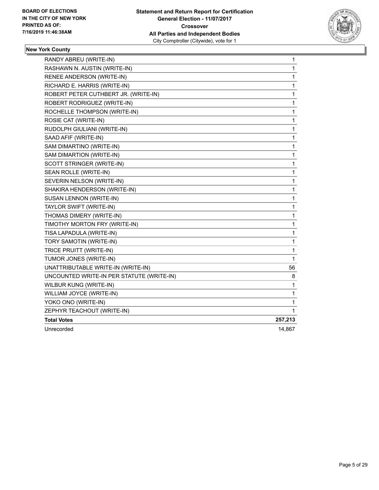

| RANDY ABREU (WRITE-IN)                    | 1            |
|-------------------------------------------|--------------|
| RASHAWN N. AUSTIN (WRITE-IN)              | 1            |
| RENEE ANDERSON (WRITE-IN)                 | 1            |
| RICHARD E. HARRIS (WRITE-IN)              | 1            |
| ROBERT PETER CUTHBERT JR. (WRITE-IN)      | 1            |
| ROBERT RODRIGUEZ (WRITE-IN)               | 1            |
| ROCHELLE THOMPSON (WRITE-IN)              | 1            |
| ROSIE CAT (WRITE-IN)                      | 1            |
| RUDOLPH GIULIANI (WRITE-IN)               | $\mathbf 1$  |
| SAAD AFIF (WRITE-IN)                      | 1            |
| SAM DIMARTINO (WRITE-IN)                  | 1            |
| SAM DIMARTION (WRITE-IN)                  | 1            |
| SCOTT STRINGER (WRITE-IN)                 | 1            |
| SEAN ROLLE (WRITE-IN)                     | 1            |
| SEVERIN NELSON (WRITE-IN)                 | $\mathbf 1$  |
| SHAKIRA HENDERSON (WRITE-IN)              | 1            |
| SUSAN LENNON (WRITE-IN)                   | 1            |
| TAYLOR SWIFT (WRITE-IN)                   | 1            |
| THOMAS DIMERY (WRITE-IN)                  | 1            |
| TIMOTHY MORTON FRY (WRITE-IN)             | 1            |
| TISA LAPADULA (WRITE-IN)                  | $\mathbf 1$  |
| TORY SAMOTIN (WRITE-IN)                   | $\mathbf{1}$ |
| TRICE PRUITT (WRITE-IN)                   | 1            |
| TUMOR JONES (WRITE-IN)                    | 1            |
| UNATTRIBUTABLE WRITE-IN (WRITE-IN)        | 56           |
| UNCOUNTED WRITE-IN PER STATUTE (WRITE-IN) | 8            |
| WILBUR KUNG (WRITE-IN)                    | $\mathbf{1}$ |
| WILLIAM JOYCE (WRITE-IN)                  | $\mathbf{1}$ |
| YOKO ONO (WRITE-IN)                       | 1            |
| ZEPHYR TEACHOUT (WRITE-IN)                | 1            |
| <b>Total Votes</b>                        | 257,213      |
| Unrecorded                                | 14,867       |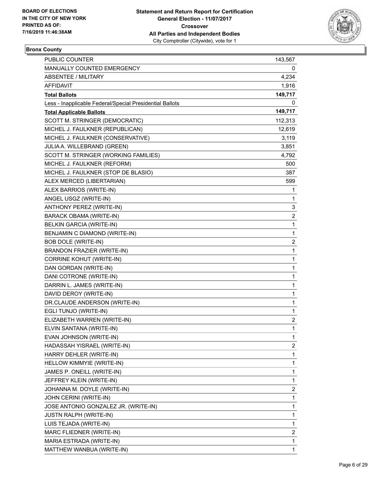

## **Bronx County**

| PUBLIC COUNTER                                           | 143,567                 |
|----------------------------------------------------------|-------------------------|
| MANUALLY COUNTED EMERGENCY                               | 0                       |
| ABSENTEE / MILITARY                                      | 4,234                   |
| AFFIDAVIT                                                | 1,916                   |
| <b>Total Ballots</b>                                     | 149,717                 |
| Less - Inapplicable Federal/Special Presidential Ballots | 0                       |
| <b>Total Applicable Ballots</b>                          | 149,717                 |
| SCOTT M. STRINGER (DEMOCRATIC)                           | 112,313                 |
| MICHEL J. FAULKNER (REPUBLICAN)                          | 12,619                  |
| MICHEL J. FAULKNER (CONSERVATIVE)                        | 3,119                   |
| JULIA A. WILLEBRAND (GREEN)                              | 3,851                   |
| SCOTT M. STRINGER (WORKING FAMILIES)                     | 4,792                   |
| MICHEL J. FAULKNER (REFORM)                              | 500                     |
| MICHEL J. FAULKNER (STOP DE BLASIO)                      | 387                     |
| ALEX MERCED (LIBERTARIAN)                                | 599                     |
| ALEX BARRIOS (WRITE-IN)                                  | 1                       |
| ANGEL USGZ (WRITE-IN)                                    | $\mathbf{1}$            |
| ANTHONY PEREZ (WRITE-IN)                                 | 3                       |
| <b>BARACK OBAMA (WRITE-IN)</b>                           | 2                       |
| <b>BELKIN GARCIA (WRITE-IN)</b>                          | $\mathbf{1}$            |
| BENJAMIN C DIAMOND (WRITE-IN)                            | $\mathbf{1}$            |
| <b>BOB DOLE (WRITE-IN)</b>                               | 2                       |
| BRANDON FRAZIER (WRITE-IN)                               | $\mathbf{1}$            |
| <b>CORRINE KOHUT (WRITE-IN)</b>                          | 1                       |
| DAN GORDAN (WRITE-IN)                                    | 1                       |
| DANI COTRONE (WRITE-IN)                                  | $\mathbf{1}$            |
| DARRIN L. JAMES (WRITE-IN)                               | 1                       |
| DAVID DEROY (WRITE-IN)                                   | 1                       |
| DR.CLAUDE ANDERSON (WRITE-IN)                            | $\mathbf{1}$            |
| EGLI TUNJO (WRITE-IN)                                    | 1                       |
| ELIZABETH WARREN (WRITE-IN)                              | 2                       |
| ELVIN SANTANA (WRITE-IN)                                 | 1                       |
| EVAN JOHNSON (WRITE-IN)                                  | 1                       |
| HADASSAH YISRAEL (WRITE-IN)                              | 2                       |
| HARRY DEHLER (WRITE-IN)                                  | $\mathbf{1}$            |
| HELLOW KIMMYIE (WRITE-IN)                                | 1                       |
| JAMES P. ONEILL (WRITE-IN)                               | 1                       |
| JEFFREY KLEIN (WRITE-IN)                                 | $\mathbf 1$             |
| JOHANNA M. DOYLE (WRITE-IN)                              | 2                       |
| JOHN CERINI (WRITE-IN)                                   | 1                       |
| JOSE ANTONIO GONZALEZ JR. (WRITE-IN)                     | $\mathbf 1$             |
| <b>JUSTN RALPH (WRITE-IN)</b>                            | 1                       |
| LUIS TEJADA (WRITE-IN)                                   | 1                       |
| MARC FLIEDNER (WRITE-IN)                                 | $\overline{\mathbf{c}}$ |
| MARIA ESTRADA (WRITE-IN)                                 | 1                       |
| MATTHEW WANBUA (WRITE-IN)                                | 1                       |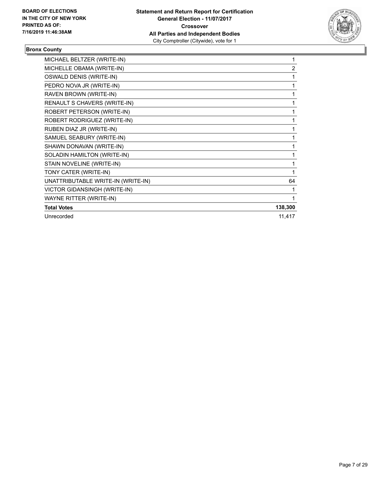

## **Bronx County**

| MICHAEL BELTZER (WRITE-IN)         |                |
|------------------------------------|----------------|
| MICHELLE OBAMA (WRITE-IN)          | $\overline{2}$ |
| OSWALD DENIS (WRITE-IN)            | 1              |
| PEDRO NOVA JR (WRITE-IN)           | 1              |
| RAVEN BROWN (WRITE-IN)             | 1              |
| RENAULT S CHAVERS (WRITE-IN)       | 1              |
| ROBERT PETERSON (WRITE-IN)         | 1              |
| ROBERT RODRIGUEZ (WRITE-IN)        | 1              |
| RUBEN DIAZ JR (WRITE-IN)           | 1              |
| SAMUEL SEABURY (WRITE-IN)          | 1              |
| SHAWN DONAVAN (WRITE-IN)           | 1              |
| SOLADIN HAMILTON (WRITE-IN)        | 1              |
| STAIN NOVELINE (WRITE-IN)          | 1              |
| TONY CATER (WRITE-IN)              |                |
| UNATTRIBUTABLE WRITE-IN (WRITE-IN) | 64             |
| VICTOR GIDANSINGH (WRITE-IN)       |                |
| WAYNE RITTER (WRITE-IN)            |                |
| <b>Total Votes</b>                 | 138,300        |
| Unrecorded                         | 11,417         |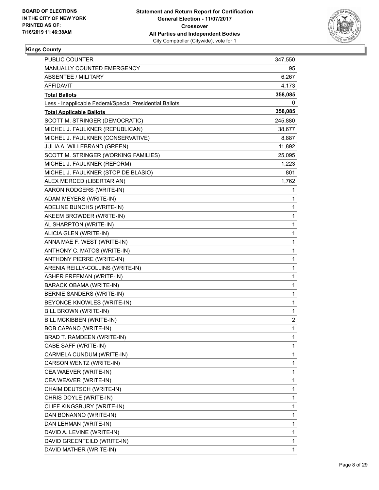

| <b>PUBLIC COUNTER</b>                                    | 347,550 |
|----------------------------------------------------------|---------|
| MANUALLY COUNTED EMERGENCY                               | 95      |
| ABSENTEE / MILITARY                                      | 6,267   |
| AFFIDAVIT                                                | 4,173   |
| <b>Total Ballots</b>                                     | 358,085 |
| Less - Inapplicable Federal/Special Presidential Ballots | 0       |
| <b>Total Applicable Ballots</b>                          | 358,085 |
| SCOTT M. STRINGER (DEMOCRATIC)                           | 245,880 |
| MICHEL J. FAULKNER (REPUBLICAN)                          | 38,677  |
| MICHEL J. FAULKNER (CONSERVATIVE)                        | 8,887   |
| JULIA A. WILLEBRAND (GREEN)                              | 11,892  |
| SCOTT M. STRINGER (WORKING FAMILIES)                     | 25,095  |
| MICHEL J. FAULKNER (REFORM)                              | 1,223   |
| MICHEL J. FAULKNER (STOP DE BLASIO)                      | 801     |
| ALEX MERCED (LIBERTARIAN)                                | 1,762   |
| AARON RODGERS (WRITE-IN)                                 | 1       |
| ADAM MEYERS (WRITE-IN)                                   | 1       |
| ADELINE BUNCHS (WRITE-IN)                                | 1       |
| AKEEM BROWDER (WRITE-IN)                                 | 1       |
| AL SHARPTON (WRITE-IN)                                   | 1       |
| ALICIA GLEN (WRITE-IN)                                   | 1       |
| ANNA MAE F. WEST (WRITE-IN)                              | 1       |
| ANTHONY C. MATOS (WRITE-IN)                              | 1       |
| ANTHONY PIERRE (WRITE-IN)                                | 1       |
| ARENIA REILLY-COLLINS (WRITE-IN)                         | 1       |
| <b>ASHER FREEMAN (WRITE-IN)</b>                          | 1       |
| BARACK OBAMA (WRITE-IN)                                  | 1       |
| BERNIE SANDERS (WRITE-IN)                                | 1       |
| BEYONCE KNOWLES (WRITE-IN)                               | 1       |
| BILL BROWN (WRITE-IN)                                    | 1       |
| BILL MCKIBBEN (WRITE-IN)                                 | 2       |
| <b>BOB CAPANO (WRITE-IN)</b>                             | 1       |
| BRAD T. RAMDEEN (WRITE-IN)                               | 1       |
| CABE SAFF (WRITE-IN)                                     | 1       |
| CARMELA CUNDUM (WRITE-IN)                                | 1       |
| CARSON WENTZ (WRITE-IN)                                  | 1       |
| CEA WAEVER (WRITE-IN)                                    | 1       |
| CEA WEAVER (WRITE-IN)                                    | 1       |
| CHAIM DEUTSCH (WRITE-IN)                                 | 1       |
| CHRIS DOYLE (WRITE-IN)                                   | 1       |
| CLIFF KINGSBURY (WRITE-IN)                               | 1       |
| DAN BONANNO (WRITE-IN)                                   | 1       |
| DAN LEHMAN (WRITE-IN)                                    | 1       |
| DAVID A. LEVINE (WRITE-IN)                               | 1       |
| DAVID GREENFEILD (WRITE-IN)                              | 1       |
| DAVID MATHER (WRITE-IN)                                  | 1       |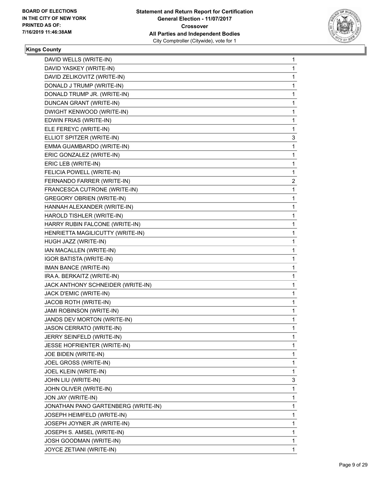

| DAVID WELLS (WRITE-IN)              | 1                         |
|-------------------------------------|---------------------------|
| DAVID YASKEY (WRITE-IN)             | 1                         |
| DAVID ZELIKOVITZ (WRITE-IN)         | 1                         |
| DONALD J TRUMP (WRITE-IN)           | 1                         |
| DONALD TRUMP JR. (WRITE-IN)         | 1                         |
| DUNCAN GRANT (WRITE-IN)             | 1                         |
| DWIGHT KENWOOD (WRITE-IN)           | 1                         |
| EDWIN FRIAS (WRITE-IN)              | 1                         |
| ELE FEREYC (WRITE-IN)               | 1                         |
| ELLIOT SPITZER (WRITE-IN)           | 3                         |
| EMMA GUAMBARDO (WRITE-IN)           | 1                         |
| ERIC GONZALEZ (WRITE-IN)            | 1                         |
| ERIC LEB (WRITE-IN)                 | 1                         |
| FELICIA POWELL (WRITE-IN)           | 1                         |
| FERNANDO FARRER (WRITE-IN)          | 2                         |
| FRANCESCA CUTRONE (WRITE-IN)        | 1                         |
| <b>GREGORY OBRIEN (WRITE-IN)</b>    | 1                         |
| HANNAH ALEXANDER (WRITE-IN)         | 1                         |
|                                     | 1                         |
| HARRY RUBIN FALCONE (WRITE-IN)      | 1                         |
| HENRIETTA MAGILICUTTY (WRITE-IN)    | 1                         |
| HUGH JAZZ (WRITE-IN)                | 1                         |
| IAN MACALLEN (WRITE-IN)             | 1                         |
| <b>IGOR BATISTA (WRITE-IN)</b>      | 1                         |
| IMAN BANCE (WRITE-IN)               | 1                         |
| IRA A. BERKAITZ (WRITE-IN)          | 1                         |
| JACK ANTHONY SCHNEIDER (WRITE-IN)   | 1                         |
| JACK D'EMIC (WRITE-IN)              | 1                         |
| JACOB ROTH (WRITE-IN)               | 1                         |
| JAMI ROBINSON (WRITE-IN)            | 1                         |
| JANDS DEV MORTON (WRITE-IN)         | 1                         |
| JASON CERRATO (WRITE-IN)            | 1                         |
| JERRY SEINFELD (WRITE-IN)           | 1                         |
| JESSE HOFRIENTER (WRITE-IN)         | 1                         |
| JOE BIDEN (WRITE-IN)                | 1                         |
| JOEL GROSS (WRITE-IN)               | 1                         |
| JOEL KLEIN (WRITE-IN)               | 1                         |
| JOHN LIU (WRITE-IN)                 | 3                         |
| JOHN OLIVER (WRITE-IN)              | 1                         |
| JON JAY (WRITE-IN)                  | 1                         |
| JONATHAN PANO GARTENBERG (WRITE-IN) | 1                         |
| JOSEPH HEIMFELD (WRITE-IN)          | 1                         |
| JOSEPH JOYNER JR (WRITE-IN)         | 1                         |
| JOSEPH S. AMSEL (WRITE-IN)          | 1                         |
| JOSH GOODMAN (WRITE-IN)             | 1                         |
| JOYCE ZETIANI (WRITE-IN)            | 1                         |
|                                     | HAROLD TISHLER (WRITE-IN) |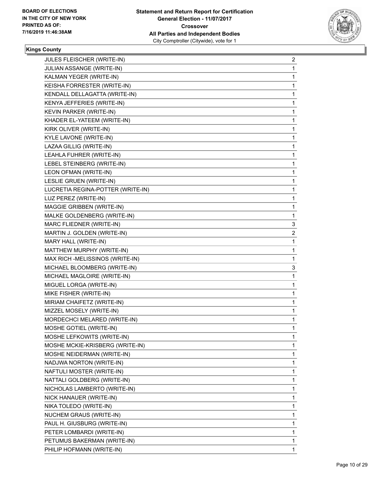

| JULES FLEISCHER (WRITE-IN)        | 2            |
|-----------------------------------|--------------|
| JULIAN ASSANGE (WRITE-IN)         | 1            |
| KALMAN YEGER (WRITE-IN)           | 1            |
| KEISHA FORRESTER (WRITE-IN)       | $\mathbf{1}$ |
| KENDALL DELLAGATTA (WRITE-IN)     | 1            |
| KENYA JEFFERIES (WRITE-IN)        | 1            |
| KEVIN PARKER (WRITE-IN)           | 1            |
| KHADER EL-YATEEM (WRITE-IN)       | 1            |
| KIRK OLIVER (WRITE-IN)            | 1            |
| <b>KYLE LAVONE (WRITE-IN)</b>     | $\mathbf{1}$ |
| LAZAA GILLIG (WRITE-IN)           | 1            |
| LEAHLA FUHRER (WRITE-IN)          | 1            |
| LEBEL STEINBERG (WRITE-IN)        | 1            |
| LEON OFMAN (WRITE-IN)             | 1            |
| LESLIE GRUEN (WRITE-IN)           | 1            |
| LUCRETIA REGINA-POTTER (WRITE-IN) | $\mathbf{1}$ |
| LUZ PEREZ (WRITE-IN)              | 1            |
| MAGGIE GRIBBEN (WRITE-IN)         | 1            |
| MALKE GOLDENBERG (WRITE-IN)       | 1            |
| MARC FLIEDNER (WRITE-IN)          | 3            |
| MARTIN J. GOLDEN (WRITE-IN)       | 2            |
| MARY HALL (WRITE-IN)              | 1            |
| MATTHEW MURPHY (WRITE-IN)         | 1            |
| MAX RICH - MELISSINOS (WRITE-IN)  | 1            |
| MICHAEL BLOOMBERG (WRITE-IN)      | 3            |
| MICHAEL MAGLOIRE (WRITE-IN)       | 1            |
| MIGUEL LORGA (WRITE-IN)           | 1            |
| MIKE FISHER (WRITE-IN)            | 1            |
| MIRIAM CHAIFETZ (WRITE-IN)        | 1            |
| MIZZEL MOSELY (WRITE-IN)          | 1            |
| MORDECHCI MELARED (WRITE-IN)      | 1            |
| MOSHE GOTIEL (WRITE-IN)           | 1            |
| MOSHE LEFKOWITS (WRITE-IN)        | 1            |
| MOSHE MCKIE-KRISBERG (WRITE-IN)   | 1            |
| MOSHE NEIDERMAN (WRITE-IN)        | 1            |
| NADJWA NORTON (WRITE-IN)          | 1            |
| NAFTULI MOSTER (WRITE-IN)         | 1            |
| NATTALI GOLDBERG (WRITE-IN)       | 1            |
| NICHOLAS LAMBERTO (WRITE-IN)      | 1            |
| NICK HANAUER (WRITE-IN)           | 1            |
| NIKA TOLEDO (WRITE-IN)            | 1            |
| NUCHEM GRAUS (WRITE-IN)           | 1            |
| PAUL H. GIUSBURG (WRITE-IN)       | 1            |
| PETER LOMBARDI (WRITE-IN)         | 1            |
| PETUMUS BAKERMAN (WRITE-IN)       | 1            |
| PHILIP HOFMANN (WRITE-IN)         | 1            |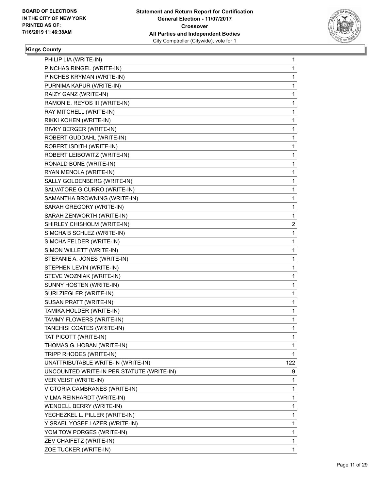

| PHILIP LIA (WRITE-IN)                     | $\mathbf{1}$ |
|-------------------------------------------|--------------|
| PINCHAS RINGEL (WRITE-IN)                 | 1            |
| PINCHES KRYMAN (WRITE-IN)                 | 1            |
| PURNIMA KAPUR (WRITE-IN)                  | 1            |
| RAIZY GANZ (WRITE-IN)                     | $\mathbf{1}$ |
| RAMON E. REYOS III (WRITE-IN)             | 1            |
| RAY MITCHELL (WRITE-IN)                   | 1            |
| RIKKI KOHEN (WRITE-IN)                    | 1            |
| RIVKY BERGER (WRITE-IN)                   | 1            |
| ROBERT GUDDAHL (WRITE-IN)                 | 1            |
| ROBERT ISDITH (WRITE-IN)                  | $\mathbf{1}$ |
| ROBERT LEIBOWITZ (WRITE-IN)               | 1            |
| RONALD BONE (WRITE-IN)                    | 1            |
| RYAN MENOLA (WRITE-IN)                    | 1            |
| SALLY GOLDENBERG (WRITE-IN)               | 1            |
| SALVATORE G CURRO (WRITE-IN)              | 1            |
| SAMANTHA BROWNING (WRITE-IN)              | $\mathbf{1}$ |
| SARAH GREGORY (WRITE-IN)                  | 1            |
| SARAH ZENWORTH (WRITE-IN)                 | 1            |
| SHIRLEY CHISHOLM (WRITE-IN)               | 2            |
| SIMCHA B SCHLEZ (WRITE-IN)                | 1            |
| SIMCHA FELDER (WRITE-IN)                  | 1            |
| SIMON WILLETT (WRITE-IN)                  | $\mathbf{1}$ |
| STEFANIE A. JONES (WRITE-IN)              | 1            |
| STEPHEN LEVIN (WRITE-IN)                  | 1            |
| STEVE WOZNIAK (WRITE-IN)                  | 1            |
| SUNNY HOSTEN (WRITE-IN)                   | 1            |
| SURI ZIEGLER (WRITE-IN)                   | 1            |
| SUSAN PRATT (WRITE-IN)                    | $\mathbf{1}$ |
| TAMIKA HOLDER (WRITE-IN)                  | 1            |
| TAMMY FLOWERS (WRITE-IN)                  | 1            |
| TANEHISI COATES (WRITE-IN)                | $\mathbf{1}$ |
| TAT PICOTT (WRITE-IN)                     | 1            |
| THOMAS G. HOBAN (WRITE-IN)                | 1            |
| TRIPP RHODES (WRITE-IN)                   | 1            |
| UNATTRIBUTABLE WRITE-IN (WRITE-IN)        | 122          |
| UNCOUNTED WRITE-IN PER STATUTE (WRITE-IN) | 9            |
| VER VEIST (WRITE-IN)                      | 1            |
| VICTORIA CAMBRANES (WRITE-IN)             | 1            |
| VILMA REINHARDT (WRITE-IN)                | 1            |
| WENDELL BERRY (WRITE-IN)                  | 1            |
| YECHEZKEL L. PILLER (WRITE-IN)            | 1            |
| YISRAEL YOSEF LAZER (WRITE-IN)            | 1            |
| YOM TOW PORGES (WRITE-IN)                 | $\mathbf{1}$ |
| ZEV CHAIFETZ (WRITE-IN)                   | 1            |
| ZOE TUCKER (WRITE-IN)                     | 1            |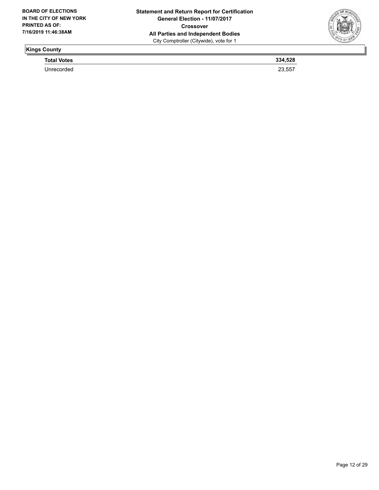

**Total Votes 334,528**  Unrecorded 23,557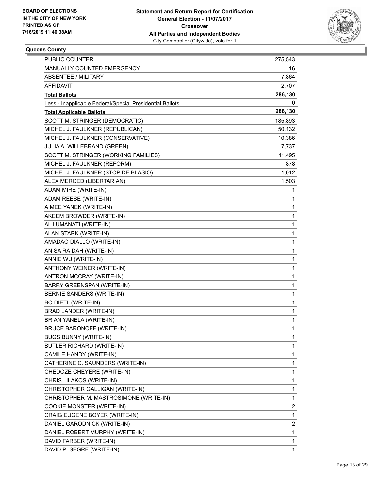

## **Queens County**

| <b>PUBLIC COUNTER</b>                                    | 275,543 |
|----------------------------------------------------------|---------|
| MANUALLY COUNTED EMERGENCY                               | 16      |
| <b>ABSENTEE / MILITARY</b>                               | 7,864   |
| AFFIDAVIT                                                | 2,707   |
| <b>Total Ballots</b>                                     | 286,130 |
| Less - Inapplicable Federal/Special Presidential Ballots | 0       |
| <b>Total Applicable Ballots</b>                          | 286,130 |
| SCOTT M. STRINGER (DEMOCRATIC)                           | 185,893 |
| MICHEL J. FAULKNER (REPUBLICAN)                          | 50,132  |
| MICHEL J. FAULKNER (CONSERVATIVE)                        | 10,386  |
| JULIA A. WILLEBRAND (GREEN)                              | 7,737   |
| SCOTT M. STRINGER (WORKING FAMILIES)                     | 11,495  |
| MICHEL J. FAULKNER (REFORM)                              | 878     |
| MICHEL J. FAULKNER (STOP DE BLASIO)                      | 1,012   |
| ALEX MERCED (LIBERTARIAN)                                | 1,503   |
| ADAM MIRE (WRITE-IN)                                     | 1       |
| ADAM REESE (WRITE-IN)                                    | 1       |
| AIMEE YANEK (WRITE-IN)                                   | 1       |
| AKEEM BROWDER (WRITE-IN)                                 | 1       |
| AL LUMANATI (WRITE-IN)                                   | 1       |
| ALAN STARK (WRITE-IN)                                    | 1       |
| AMADAO DIALLO (WRITE-IN)                                 | 1       |
| ANISA RAIDAH (WRITE-IN)                                  | 1       |
| ANNIE WU (WRITE-IN)                                      | 1       |
| ANTHONY WEINER (WRITE-IN)                                | 1       |
| ANTRON MCCRAY (WRITE-IN)                                 | 1       |
| BARRY GREENSPAN (WRITE-IN)                               | 1       |
| BERNIE SANDERS (WRITE-IN)                                | 1       |
| <b>BO DIETL (WRITE-IN)</b>                               | 1       |
| BRAD LANDER (WRITE-IN)                                   | 1       |
| BRIAN YANELA (WRITE-IN)                                  | 1       |
| <b>BRUCE BARONOFF (WRITE-IN)</b>                         | 1       |
| <b>BUGS BUNNY (WRITE-IN)</b>                             | 1       |
| BUTLER RICHARD (WRITE-IN)                                | 1       |
| CAMILE HANDY (WRITE-IN)                                  | 1       |
| CATHERINE C. SAUNDERS (WRITE-IN)                         | 1       |
| CHEDOZE CHEYERE (WRITE-IN)                               | 1       |
| CHRIS LILAKOS (WRITE-IN)                                 | 1       |
| CHRISTOPHER GALLIGAN (WRITE-IN)                          | 1       |
| CHRISTOPHER M. MASTROSIMONE (WRITE-IN)                   | 1       |
| COOKIE MONSTER (WRITE-IN)                                | 2       |
| CRAIG EUGENE BOYER (WRITE-IN)                            | 1       |
| DANIEL GARODNICK (WRITE-IN)                              | 2       |
| DANIEL ROBERT MURPHY (WRITE-IN)                          | 1       |
| DAVID FARBER (WRITE-IN)                                  | 1       |
| DAVID P. SEGRE (WRITE-IN)                                | 1       |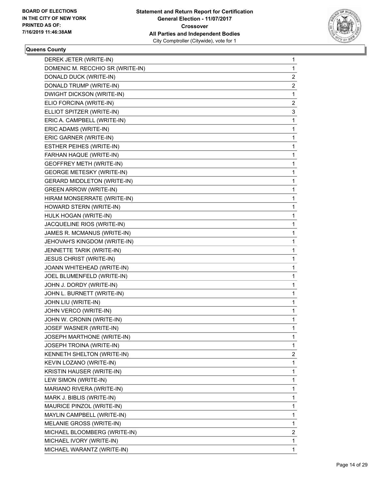

## **Queens County**

| DEREK JETER (WRITE-IN)             | 1              |
|------------------------------------|----------------|
| DOMENIC M. RECCHIO SR (WRITE-IN)   | 1              |
| DONALD DUCK (WRITE-IN)             | 2              |
| DONALD TRUMP (WRITE-IN)            | $\overline{2}$ |
| DWIGHT DICKSON (WRITE-IN)          | 1              |
| ELIO FORCINA (WRITE-IN)            | 2              |
| ELLIOT SPITZER (WRITE-IN)          | 3              |
| ERIC A. CAMPBELL (WRITE-IN)        | 1              |
| ERIC ADAMS (WRITE-IN)              | 1              |
| ERIC GARNER (WRITE-IN)             | 1              |
| ESTHER PEIHES (WRITE-IN)           | 1              |
| FARHAN HAQUE (WRITE-IN)            | 1              |
| <b>GEOFFREY METH (WRITE-IN)</b>    | 1              |
| <b>GEORGE METESKY (WRITE-IN)</b>   | 1              |
| <b>GERARD MIDDLETON (WRITE-IN)</b> | 1              |
| <b>GREEN ARROW (WRITE-IN)</b>      | 1              |
| HIRAM MONSERRATE (WRITE-IN)        | 1              |
| HOWARD STERN (WRITE-IN)            | 1              |
| HULK HOGAN (WRITE-IN)              | 1              |
| JACQUELINE RIOS (WRITE-IN)         | 1              |
| JAMES R. MCMANUS (WRITE-IN)        | 1              |
| JEHOVAH'S KINGDOM (WRITE-IN)       | 1              |
| JENNETTE TARIK (WRITE-IN)          | 1              |
| JESUS CHRIST (WRITE-IN)            | 1              |
| JOANN WHITEHEAD (WRITE-IN)         | 1              |
| JOEL BLUMENFELD (WRITE-IN)         | 1              |
| JOHN J. DORDY (WRITE-IN)           | 1              |
| JOHN L. BURNETT (WRITE-IN)         | 1              |
| JOHN LIU (WRITE-IN)                | 1              |
| JOHN VERCO (WRITE-IN)              | 1              |
| JOHN W. CRONIN (WRITE-IN)          | 1              |
| JOSEF WASNER (WRITE-IN)            | 1              |
| JOSEPH MARTHONE (WRITE-IN)         | 1              |
| JOSEPH TROINA (WRITE-IN)           | $\mathbf{1}$   |
| KENNETH SHELTON (WRITE-IN)         | $\overline{2}$ |
| KEVIN LOZANO (WRITE-IN)            | 1              |
| KRISTIN HAUSER (WRITE-IN)          | 1              |
| LEW SIMON (WRITE-IN)               | 1              |
| MARIANO RIVERA (WRITE-IN)          | 1              |
| MARK J. BIBLIS (WRITE-IN)          | 1              |
| MAURICE PINZOL (WRITE-IN)          | 1              |
| MAYLIN CAMPBELL (WRITE-IN)         | 1              |
| MELANIE GROSS (WRITE-IN)           | 1              |
| MICHAEL BLOOMBERG (WRITE-IN)       | $\overline{2}$ |
| MICHAEL IVORY (WRITE-IN)           | 1              |
| MICHAEL WARANTZ (WRITE-IN)         | $\mathbf{1}$   |
|                                    |                |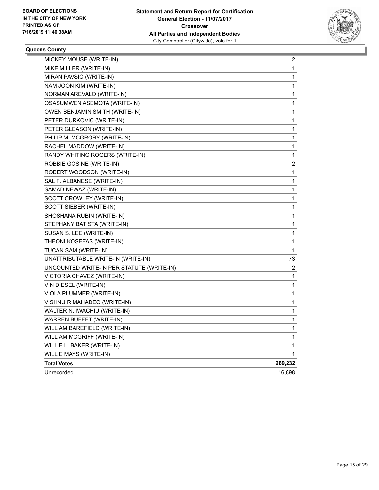

#### **Queens County**

| MICKEY MOUSE (WRITE-IN)                   | 2            |
|-------------------------------------------|--------------|
| MIKE MILLER (WRITE-IN)                    | 1            |
| MIRAN PAVSIC (WRITE-IN)                   | 1            |
| NAM JOON KIM (WRITE-IN)                   | 1            |
| NORMAN AREVALO (WRITE-IN)                 | 1            |
| OSASUMWEN ASEMOTA (WRITE-IN)              | 1            |
| OWEN BENJAMIN SMITH (WRITE-IN)            | 1            |
| PETER DURKOVIC (WRITE-IN)                 | 1            |
| PETER GLEASON (WRITE-IN)                  | 1            |
| PHILIP M. MCGRORY (WRITE-IN)              | 1            |
| RACHEL MADDOW (WRITE-IN)                  | 1            |
| RANDY WHITING ROGERS (WRITE-IN)           | 1            |
| ROBBIE GOSINE (WRITE-IN)                  | 2            |
| ROBERT WOODSON (WRITE-IN)                 | 1            |
| SAL F. ALBANESE (WRITE-IN)                | 1            |
| SAMAD NEWAZ (WRITE-IN)                    | 1            |
| SCOTT CROWLEY (WRITE-IN)                  | 1            |
| SCOTT SIEBER (WRITE-IN)                   | 1            |
| SHOSHANA RUBIN (WRITE-IN)                 | 1            |
| STEPHANY BATISTA (WRITE-IN)               | 1            |
| SUSAN S. LEE (WRITE-IN)                   | 1            |
| THEONI KOSEFAS (WRITE-IN)                 | 1            |
| TUCAN SAM (WRITE-IN)                      | $\mathbf{1}$ |
| UNATTRIBUTABLE WRITE-IN (WRITE-IN)        | 73           |
| UNCOUNTED WRITE-IN PER STATUTE (WRITE-IN) | 2            |
| VICTORIA CHAVEZ (WRITE-IN)                | 1            |
| VIN DIESEL (WRITE-IN)                     | 1            |
| VIOLA PLUMMER (WRITE-IN)                  | 1            |
| VISHNU R MAHADEO (WRITE-IN)               | 1            |
| WALTER N. IWACHIU (WRITE-IN)              | 1            |
| WARREN BUFFET (WRITE-IN)                  | 1            |
| WILLIAM BAREFIELD (WRITE-IN)              | 1            |
| WILLIAM MCGRIFF (WRITE-IN)                | 1            |
| WILLIE L. BAKER (WRITE-IN)                | 1            |
| WILLIE MAYS (WRITE-IN)                    | 1            |
| <b>Total Votes</b>                        | 269,232      |
| Unrecorded                                | 16,898       |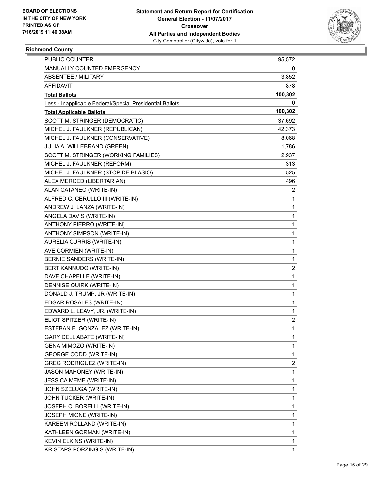

## **Richmond County**

| <b>PUBLIC COUNTER</b>                                    | 95,572       |
|----------------------------------------------------------|--------------|
| MANUALLY COUNTED EMERGENCY                               | 0            |
| <b>ABSENTEE / MILITARY</b>                               | 3,852        |
| AFFIDAVIT                                                | 878          |
| <b>Total Ballots</b>                                     | 100,302      |
| Less - Inapplicable Federal/Special Presidential Ballots | 0            |
| <b>Total Applicable Ballots</b>                          | 100,302      |
| SCOTT M. STRINGER (DEMOCRATIC)                           | 37,692       |
| MICHEL J. FAULKNER (REPUBLICAN)                          | 42,373       |
| MICHEL J. FAULKNER (CONSERVATIVE)                        | 8,068        |
| JULIA A. WILLEBRAND (GREEN)                              | 1,786        |
| SCOTT M. STRINGER (WORKING FAMILIES)                     | 2,937        |
| MICHEL J. FAULKNER (REFORM)                              | 313          |
| MICHEL J. FAULKNER (STOP DE BLASIO)                      | 525          |
| ALEX MERCED (LIBERTARIAN)                                | 496          |
| ALAN CATANEO (WRITE-IN)                                  | 2            |
| ALFRED C. CERULLO III (WRITE-IN)                         | 1            |
| ANDREW J. LANZA (WRITE-IN)                               | 1            |
| ANGELA DAVIS (WRITE-IN)                                  | $\mathbf{1}$ |
| ANTHONY PIERRO (WRITE-IN)                                | 1            |
| ANTHONY SIMPSON (WRITE-IN)                               | $\mathbf{1}$ |
| AURELIA CURRIS (WRITE-IN)                                | $\mathbf{1}$ |
| AVE CORMIEN (WRITE-IN)                                   | 1            |
| BERNIE SANDERS (WRITE-IN)                                | 1            |
| BERT KANNUDO (WRITE-IN)                                  | 2            |
| DAVE CHAPELLE (WRITE-IN)                                 | $\mathbf{1}$ |
| DENNISE QUIRK (WRITE-IN)                                 | $\mathbf{1}$ |
| DONALD J. TRUMP, JR (WRITE-IN)                           | $\mathbf{1}$ |
| EDGAR ROSALES (WRITE-IN)                                 | 1            |
| EDWARD L. LEAVY, JR. (WRITE-IN)                          | 1            |
| ELIOT SPITZER (WRITE-IN)                                 | 2            |
| ESTEBAN E. GONZALEZ (WRITE-IN)                           | $\mathbf{1}$ |
| GARY DELL ABATE (WRITE-IN)                               | $\mathbf{1}$ |
| GENA MIMOZO (WRITE-IN)                                   | 1            |
| <b>GEORGE CODD (WRITE-IN)</b>                            | 1            |
| <b>GREG RODRIGUEZ (WRITE-IN)</b>                         | 2            |
| JASON MAHONEY (WRITE-IN)                                 | $\mathbf{1}$ |
| <b>JESSICA MEME (WRITE-IN)</b>                           | 1            |
| JOHN SZELUGA (WRITE-IN)                                  | 1            |
| JOHN TUCKER (WRITE-IN)                                   | 1            |
| JOSEPH C. BORELLI (WRITE-IN)                             | 1            |
| JOSEPH MIONE (WRITE-IN)                                  | 1            |
| KAREEM ROLLAND (WRITE-IN)                                | $\mathbf{1}$ |
| KATHLEEN GORMAN (WRITE-IN)                               | 1            |
| KEVIN ELKINS (WRITE-IN)                                  | 1            |
| KRISTAPS PORZINGIS (WRITE-IN)                            | 1            |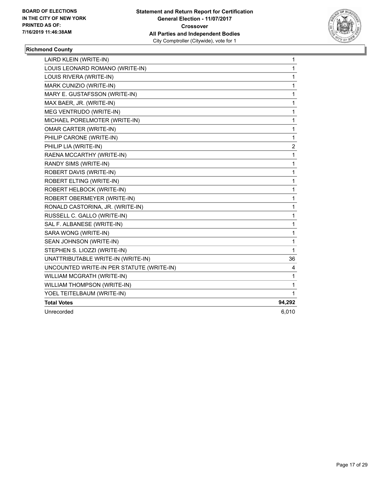

## **Richmond County**

| LAIRD KLEIN (WRITE-IN)                    | 1                       |
|-------------------------------------------|-------------------------|
| LOUIS LEONARD ROMANO (WRITE-IN)           | $\mathbf{1}$            |
| LOUIS RIVERA (WRITE-IN)                   | 1                       |
| MARK CUNIZIO (WRITE-IN)                   | 1                       |
| MARY E. GUSTAFSSON (WRITE-IN)             | 1                       |
| MAX BAER, JR. (WRITE-IN)                  | 1                       |
| MEG VENTRUDO (WRITE-IN)                   | 1                       |
| MICHAEL PORELMOTER (WRITE-IN)             | 1                       |
| <b>OMAR CARTER (WRITE-IN)</b>             | 1                       |
| PHILIP CARONE (WRITE-IN)                  | 1                       |
| PHILIP LIA (WRITE-IN)                     | $\overline{\mathbf{c}}$ |
| RAENA MCCARTHY (WRITE-IN)                 | 1                       |
| RANDY SIMS (WRITE-IN)                     | 1                       |
| ROBERT DAVIS (WRITE-IN)                   | 1                       |
| ROBERT ELTING (WRITE-IN)                  | 1                       |
| ROBERT HELBOCK (WRITE-IN)                 | 1                       |
| ROBERT OBERMEYER (WRITE-IN)               | 1                       |
| RONALD CASTORINA, JR. (WRITE-IN)          | 1                       |
| RUSSELL C. GALLO (WRITE-IN)               | 1                       |
| SAL F. ALBANESE (WRITE-IN)                | 1                       |
| SARA WONG (WRITE-IN)                      | 1                       |
| SEAN JOHNSON (WRITE-IN)                   | 1                       |
| STEPHEN S. LIOZZI (WRITE-IN)              | 1                       |
| UNATTRIBUTABLE WRITE-IN (WRITE-IN)        | 36                      |
| UNCOUNTED WRITE-IN PER STATUTE (WRITE-IN) | 4                       |
| WILLIAM MCGRATH (WRITE-IN)                | 1                       |
| WILLIAM THOMPSON (WRITE-IN)               | 1                       |
| YOEL TEITELBAUM (WRITE-IN)                | 1                       |
| <b>Total Votes</b>                        | 94,292                  |
| Unrecorded                                | 6,010                   |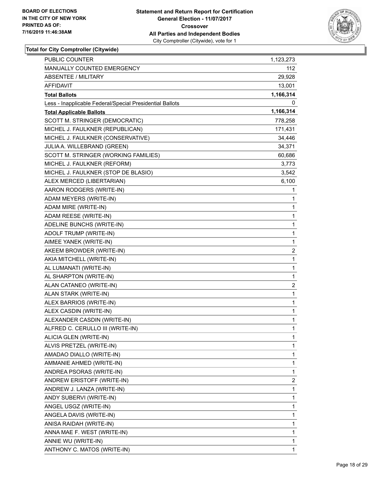

| <b>PUBLIC COUNTER</b>                                    | 1,123,273    |
|----------------------------------------------------------|--------------|
| MANUALLY COUNTED EMERGENCY                               | 112          |
| ABSENTEE / MILITARY                                      | 29,928       |
| <b>AFFIDAVIT</b>                                         | 13,001       |
| <b>Total Ballots</b>                                     | 1,166,314    |
| Less - Inapplicable Federal/Special Presidential Ballots | 0            |
| <b>Total Applicable Ballots</b>                          | 1,166,314    |
| SCOTT M. STRINGER (DEMOCRATIC)                           | 778,258      |
| MICHEL J. FAULKNER (REPUBLICAN)                          | 171,431      |
| MICHEL J. FAULKNER (CONSERVATIVE)                        | 34,446       |
| JULIA A. WILLEBRAND (GREEN)                              | 34,371       |
| SCOTT M. STRINGER (WORKING FAMILIES)                     | 60,686       |
| MICHEL J. FAULKNER (REFORM)                              | 3,773        |
| MICHEL J. FAULKNER (STOP DE BLASIO)                      | 3,542        |
| ALEX MERCED (LIBERTARIAN)                                | 6,100        |
| AARON RODGERS (WRITE-IN)                                 | 1            |
| ADAM MEYERS (WRITE-IN)                                   | 1            |
| ADAM MIRE (WRITE-IN)                                     | 1            |
| ADAM REESE (WRITE-IN)                                    | 1            |
| ADELINE BUNCHS (WRITE-IN)                                | 1            |
| ADOLF TRUMP (WRITE-IN)                                   | 1            |
| AIMEE YANEK (WRITE-IN)                                   | 1            |
| AKEEM BROWDER (WRITE-IN)                                 | 2            |
| AKIA MITCHELL (WRITE-IN)                                 | 1            |
| AL LUMANATI (WRITE-IN)                                   | 1            |
| AL SHARPTON (WRITE-IN)                                   | 1            |
| ALAN CATANEO (WRITE-IN)                                  | 2            |
| ALAN STARK (WRITE-IN)                                    | 1            |
| ALEX BARRIOS (WRITE-IN)                                  | 1            |
| ALEX CASDIN (WRITE-IN)                                   | $\mathbf{1}$ |
| ALEXANDER CASDIN (WRITE-IN)                              | 1            |
| ALFRED C. CERULLO III (WRITE-IN)                         | 1            |
| ALICIA GLEN (WRITE-IN)                                   | 1            |
| ALVIS PRETZEL (WRITE-IN)                                 | 1            |
| AMADAO DIALLO (WRITE-IN)                                 | 1            |
| AMMANIE AHMED (WRITE-IN)                                 | 1            |
| ANDREA PSORAS (WRITE-IN)                                 | 1            |
| ANDREW ERISTOFF (WRITE-IN)                               | 2            |
| ANDREW J. LANZA (WRITE-IN)                               | 1            |
| ANDY SUBERVI (WRITE-IN)                                  | 1            |
| ANGEL USGZ (WRITE-IN)                                    | 1            |
| ANGELA DAVIS (WRITE-IN)                                  | 1            |
| ANISA RAIDAH (WRITE-IN)                                  | 1            |
| ANNA MAE F. WEST (WRITE-IN)                              | 1            |
| ANNIE WU (WRITE-IN)                                      | 1            |
| ANTHONY C. MATOS (WRITE-IN)                              | 1            |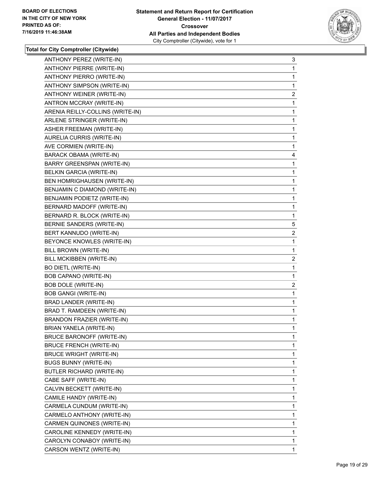

| ANTHONY PEREZ (WRITE-IN)          | 3              |
|-----------------------------------|----------------|
| ANTHONY PIERRE (WRITE-IN)         | 1              |
| ANTHONY PIERRO (WRITE-IN)         | 1              |
| ANTHONY SIMPSON (WRITE-IN)        | 1              |
| <b>ANTHONY WEINER (WRITE-IN)</b>  | $\overline{2}$ |
| ANTRON MCCRAY (WRITE-IN)          | 1              |
| ARENIA REILLY-COLLINS (WRITE-IN)  | 1              |
| ARLENE STRINGER (WRITE-IN)        | 1              |
| <b>ASHER FREEMAN (WRITE-IN)</b>   | 1              |
| AURELIA CURRIS (WRITE-IN)         | 1              |
| AVE CORMIEN (WRITE-IN)            | 1              |
| <b>BARACK OBAMA (WRITE-IN)</b>    | 4              |
| BARRY GREENSPAN (WRITE-IN)        | 1              |
| <b>BELKIN GARCIA (WRITE-IN)</b>   | 1              |
| BEN HOMRIGHAUSEN (WRITE-IN)       | 1              |
| BENJAMIN C DIAMOND (WRITE-IN)     | 1              |
| BENJAMIN PODIETZ (WRITE-IN)       | 1              |
| BERNARD MADOFF (WRITE-IN)         | 1              |
| BERNARD R. BLOCK (WRITE-IN)       | 1              |
| BERNIE SANDERS (WRITE-IN)         | 5              |
| BERT KANNUDO (WRITE-IN)           | $\overline{c}$ |
| BEYONCE KNOWLES (WRITE-IN)        | 1              |
| BILL BROWN (WRITE-IN)             | 1              |
| BILL MCKIBBEN (WRITE-IN)          | $\overline{2}$ |
| <b>BO DIETL (WRITE-IN)</b>        | 1              |
| BOB CAPANO (WRITE-IN)             | 1              |
| <b>BOB DOLE (WRITE-IN)</b>        | $\overline{c}$ |
| <b>BOB GANGI (WRITE-IN)</b>       | 1              |
| BRAD LANDER (WRITE-IN)            | 1              |
| BRAD T. RAMDEEN (WRITE-IN)        | $\mathbf{1}$   |
| <b>BRANDON FRAZIER (WRITE-IN)</b> | 1              |
| <b>BRIAN YANELA (WRITE-IN)</b>    | 1              |
| BRUCE BARONOFF (WRITE-IN)         | 1              |
| <b>BRUCE FRENCH (WRITE-IN)</b>    | 1              |
| <b>BRUCE WRIGHT (WRITE-IN)</b>    | 1              |
| <b>BUGS BUNNY (WRITE-IN)</b>      | 1              |
| BUTLER RICHARD (WRITE-IN)         | 1              |
| CABE SAFF (WRITE-IN)              | 1              |
| CALVIN BECKETT (WRITE-IN)         | 1              |
| CAMILE HANDY (WRITE-IN)           | 1              |
| CARMELA CUNDUM (WRITE-IN)         | 1              |
| CARMELO ANTHONY (WRITE-IN)        | 1              |
| CARMEN QUINONES (WRITE-IN)        | 1              |
| CAROLINE KENNEDY (WRITE-IN)       | 1              |
| CAROLYN CONABOY (WRITE-IN)        | 1              |
| CARSON WENTZ (WRITE-IN)           | 1.             |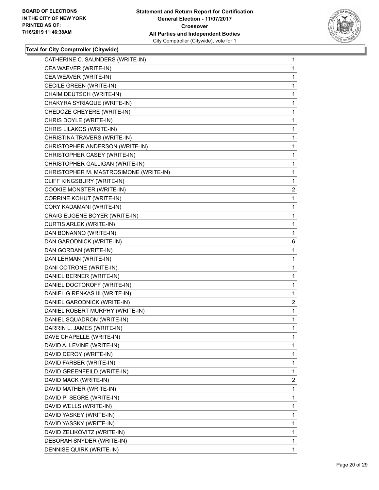

| CATHERINE C. SAUNDERS (WRITE-IN)       | $\mathbf{1}$   |
|----------------------------------------|----------------|
| CEA WAEVER (WRITE-IN)                  | 1              |
| CEA WEAVER (WRITE-IN)                  | 1              |
| CECILE GREEN (WRITE-IN)                | 1              |
| CHAIM DEUTSCH (WRITE-IN)               | 1              |
| CHAKYRA SYRIAQUE (WRITE-IN)            | 1              |
| CHEDOZE CHEYERE (WRITE-IN)             | 1              |
| CHRIS DOYLE (WRITE-IN)                 | 1              |
| CHRIS LILAKOS (WRITE-IN)               | 1              |
| CHRISTINA TRAVERS (WRITE-IN)           | 1              |
| CHRISTOPHER ANDERSON (WRITE-IN)        | 1              |
| CHRISTOPHER CASEY (WRITE-IN)           | 1              |
| CHRISTOPHER GALLIGAN (WRITE-IN)        | 1              |
| CHRISTOPHER M. MASTROSIMONE (WRITE-IN) | 1              |
| CLIFF KINGSBURY (WRITE-IN)             | 1              |
| COOKIE MONSTER (WRITE-IN)              | $\overline{2}$ |
| CORRINE KOHUT (WRITE-IN)               | 1              |
| CORY KADAMANI (WRITE-IN)               | 1              |
| CRAIG EUGENE BOYER (WRITE-IN)          | 1              |
| <b>CURTIS ARLEK (WRITE-IN)</b>         | 1              |
| DAN BONANNO (WRITE-IN)                 | 1              |
| DAN GARODNICK (WRITE-IN)               | 6              |
| DAN GORDAN (WRITE-IN)                  | 1              |
| DAN LEHMAN (WRITE-IN)                  | 1              |
| DANI COTRONE (WRITE-IN)                | 1              |
| DANIEL BERNER (WRITE-IN)               | 1              |
| DANIEL DOCTOROFF (WRITE-IN)            | 1              |
| DANIEL G RENKAS III (WRITE-IN)         | 1              |
| DANIEL GARODNICK (WRITE-IN)            | 2              |
| DANIEL ROBERT MURPHY (WRITE-IN)        | 1              |
| DANIEL SQUADRON (WRITE-IN)             | 1              |
| DARRIN L. JAMES (WRITE-IN)             | 1              |
| DAVE CHAPELLE (WRITE-IN)               | 1              |
| DAVID A. LEVINE (WRITE-IN)             | 1              |
| DAVID DEROY (WRITE-IN)                 | 1              |
| DAVID FARBER (WRITE-IN)                | 1              |
| DAVID GREENFEILD (WRITE-IN)            | 1              |
| DAVID MACK (WRITE-IN)                  | 2              |
| DAVID MATHER (WRITE-IN)                | 1              |
| DAVID P. SEGRE (WRITE-IN)              | 1              |
| DAVID WELLS (WRITE-IN)                 | 1              |
| DAVID YASKEY (WRITE-IN)                | 1              |
| DAVID YASSKY (WRITE-IN)                | 1              |
| DAVID ZELIKOVITZ (WRITE-IN)            | 1              |
| DEBORAH SNYDER (WRITE-IN)              | 1              |
| DENNISE QUIRK (WRITE-IN)               | 1              |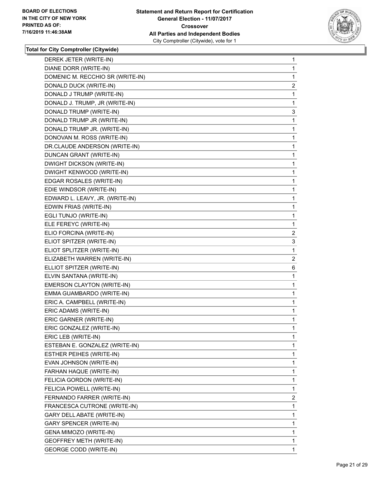

| DEREK JETER (WRITE-IN)           | 1              |
|----------------------------------|----------------|
| DIANE DORR (WRITE-IN)            | 1              |
| DOMENIC M. RECCHIO SR (WRITE-IN) | 1              |
| DONALD DUCK (WRITE-IN)           | 2              |
| DONALD J TRUMP (WRITE-IN)        | 1              |
| DONALD J. TRUMP, JR (WRITE-IN)   | 1              |
| DONALD TRUMP (WRITE-IN)          | 3              |
| DONALD TRUMP JR (WRITE-IN)       | 1              |
| DONALD TRUMP JR. (WRITE-IN)      | 1              |
| DONOVAN M. ROSS (WRITE-IN)       | 1              |
| DR.CLAUDE ANDERSON (WRITE-IN)    | 1              |
| DUNCAN GRANT (WRITE-IN)          | 1              |
| DWIGHT DICKSON (WRITE-IN)        | 1              |
| DWIGHT KENWOOD (WRITE-IN)        | 1              |
| EDGAR ROSALES (WRITE-IN)         | 1              |
| EDIE WINDSOR (WRITE-IN)          | 1              |
| EDWARD L. LEAVY, JR. (WRITE-IN)  | 1              |
| EDWIN FRIAS (WRITE-IN)           | 1              |
| EGLI TUNJO (WRITE-IN)            | 1              |
| ELE FEREYC (WRITE-IN)            | 1              |
| ELIO FORCINA (WRITE-IN)          | 2              |
| ELIOT SPITZER (WRITE-IN)         | 3              |
| ELIOT SPLITZER (WRITE-IN)        | 1              |
| ELIZABETH WARREN (WRITE-IN)      | $\overline{2}$ |
| ELLIOT SPITZER (WRITE-IN)        | 6              |
| ELVIN SANTANA (WRITE-IN)         | 1              |
| EMERSON CLAYTON (WRITE-IN)       | 1              |
| EMMA GUAMBARDO (WRITE-IN)        | 1              |
| ERIC A. CAMPBELL (WRITE-IN)      | 1              |
| ERIC ADAMS (WRITE-IN)            | 1              |
| ERIC GARNER (WRITE-IN)           | 1              |
| ERIC GONZALEZ (WRITE-IN)         | 1              |
| ERIC LEB (WRITE-IN)              | 1              |
| ESTEBAN E. GONZALEZ (WRITE-IN)   | 1              |
| ESTHER PEIHES (WRITE-IN)         | 1              |
| EVAN JOHNSON (WRITE-IN)          | 1              |
| FARHAN HAQUE (WRITE-IN)          | 1              |
| FELICIA GORDON (WRITE-IN)        | 1              |
| FELICIA POWELL (WRITE-IN)        | 1              |
| FERNANDO FARRER (WRITE-IN)       | 2              |
| FRANCESCA CUTRONE (WRITE-IN)     | 1              |
| GARY DELL ABATE (WRITE-IN)       | 1              |
| <b>GARY SPENCER (WRITE-IN)</b>   | 1              |
| GENA MIMOZO (WRITE-IN)           | 1              |
| <b>GEOFFREY METH (WRITE-IN)</b>  | 1              |
| GEORGE CODD (WRITE-IN)           | 1              |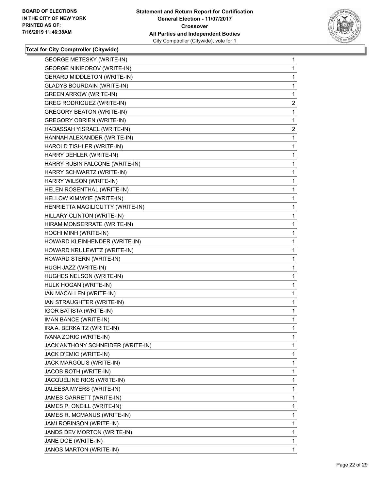

| <b>GEORGE METESKY (WRITE-IN)</b>   | $\mathbf{1}$   |
|------------------------------------|----------------|
| <b>GEORGE NIKIFOROV (WRITE-IN)</b> | 1              |
| <b>GERARD MIDDLETON (WRITE-IN)</b> | 1              |
| <b>GLADYS BOURDAIN (WRITE-IN)</b>  | 1              |
| <b>GREEN ARROW (WRITE-IN)</b>      | 1              |
| <b>GREG RODRIGUEZ (WRITE-IN)</b>   | $\overline{2}$ |
| <b>GREGORY BEATON (WRITE-IN)</b>   | 1              |
| <b>GREGORY OBRIEN (WRITE-IN)</b>   | 1              |
| HADASSAH YISRAEL (WRITE-IN)        | $\overline{2}$ |
| HANNAH ALEXANDER (WRITE-IN)        | 1              |
| HAROLD TISHLER (WRITE-IN)          | 1              |
| HARRY DEHLER (WRITE-IN)            | 1              |
| HARRY RUBIN FALCONE (WRITE-IN)     | 1              |
| HARRY SCHWARTZ (WRITE-IN)          | 1              |
| HARRY WILSON (WRITE-IN)            | 1              |
| HELEN ROSENTHAL (WRITE-IN)         | 1              |
| HELLOW KIMMYIE (WRITE-IN)          | 1              |
| HENRIETTA MAGILICUTTY (WRITE-IN)   | 1              |
| HILLARY CLINTON (WRITE-IN)         | 1              |
| HIRAM MONSERRATE (WRITE-IN)        | 1              |
| HOCHI MINH (WRITE-IN)              | 1              |
| HOWARD KLEINHENDER (WRITE-IN)      | 1              |
| HOWARD KRULEWITZ (WRITE-IN)        | 1              |
| HOWARD STERN (WRITE-IN)            | 1              |
| HUGH JAZZ (WRITE-IN)               | 1              |
| HUGHES NELSON (WRITE-IN)           | 1              |
| HULK HOGAN (WRITE-IN)              | 1              |
| IAN MACALLEN (WRITE-IN)            | 1              |
| IAN STRAUGHTER (WRITE-IN)          | 1              |
| <b>IGOR BATISTA (WRITE-IN)</b>     | 1              |
| IMAN BANCE (WRITE-IN)              | 1              |
| IRA A. BERKAITZ (WRITE-IN)         | 1              |
| IVANA ZORIC (WRITE-IN)             | 1              |
| JACK ANTHONY SCHNEIDER (WRITE-IN)  | 1              |
| JACK D'EMIC (WRITE-IN)             | 1              |
| JACK MARGOLIS (WRITE-IN)           | 1              |
| JACOB ROTH (WRITE-IN)              | 1              |
| JACQUELINE RIOS (WRITE-IN)         | 1              |
| JALEESA MYERS (WRITE-IN)           | 1              |
| JAMES GARRETT (WRITE-IN)           | 1              |
| JAMES P. ONEILL (WRITE-IN)         | 1              |
| JAMES R. MCMANUS (WRITE-IN)        | 1              |
| <b>JAMI ROBINSON (WRITE-IN)</b>    | 1              |
| JANDS DEV MORTON (WRITE-IN)        | 1              |
| JANE DOE (WRITE-IN)                | 1              |
| JANOS MARTON (WRITE-IN)            | 1              |
|                                    |                |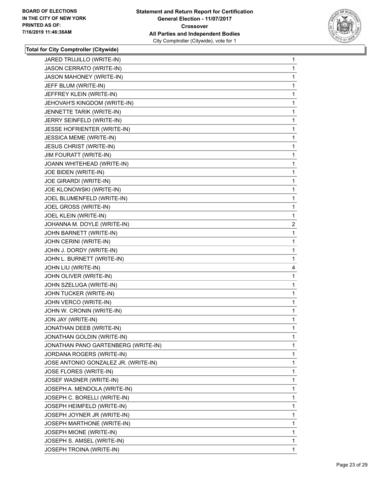

| JARED TRUJILLO (WRITE-IN)            | $\mathbf{1}$   |
|--------------------------------------|----------------|
| JASON CERRATO (WRITE-IN)             | 1              |
| <b>JASON MAHONEY (WRITE-IN)</b>      | 1              |
| JEFF BLUM (WRITE-IN)                 | 1              |
| JEFFREY KLEIN (WRITE-IN)             | 1              |
| JEHOVAH'S KINGDOM (WRITE-IN)         | 1              |
| JENNETTE TARIK (WRITE-IN)            | 1              |
| JERRY SEINFELD (WRITE-IN)            | 1              |
| JESSE HOFRIENTER (WRITE-IN)          | 1              |
| <b>JESSICA MEME (WRITE-IN)</b>       | 1              |
| <b>JESUS CHRIST (WRITE-IN)</b>       | 1              |
| JIM FOURATT (WRITE-IN)               | 1              |
| JOANN WHITEHEAD (WRITE-IN)           | 1              |
| JOE BIDEN (WRITE-IN)                 | 1              |
| JOE GIRARDI (WRITE-IN)               | 1              |
| JOE KLONOWSKI (WRITE-IN)             | 1              |
| JOEL BLUMENFELD (WRITE-IN)           | 1              |
| JOEL GROSS (WRITE-IN)                | 1              |
| JOEL KLEIN (WRITE-IN)                | 1              |
| JOHANNA M. DOYLE (WRITE-IN)          | $\overline{2}$ |
| JOHN BARNETT (WRITE-IN)              | 1              |
| JOHN CERINI (WRITE-IN)               | 1              |
| JOHN J. DORDY (WRITE-IN)             | 1              |
| JOHN L. BURNETT (WRITE-IN)           | 1              |
| JOHN LIU (WRITE-IN)                  | 4              |
| JOHN OLIVER (WRITE-IN)               | 1              |
| JOHN SZELUGA (WRITE-IN)              | 1              |
| JOHN TUCKER (WRITE-IN)               | 1              |
| JOHN VERCO (WRITE-IN)                | 1              |
| JOHN W. CRONIN (WRITE-IN)            | 1              |
| JON JAY (WRITE-IN)                   | 1              |
| JONATHAN DEEB (WRITE-IN)             | 1              |
| JONATHAN GOLDIN (WRITE-IN)           | 1              |
| JONATHAN PANO GARTENBERG (WRITE-IN)  | 1              |
| JORDANA ROGERS (WRITE-IN)            | 1              |
| JOSE ANTONIO GONZALEZ JR. (WRITE-IN) | 1              |
| JOSE FLORES (WRITE-IN)               | 1              |
| JOSEF WASNER (WRITE-IN)              | 1              |
| JOSEPH A. MENDOLA (WRITE-IN)         | 1              |
| JOSEPH C. BORELLI (WRITE-IN)         | 1              |
| JOSEPH HEIMFELD (WRITE-IN)           | 1              |
| JOSEPH JOYNER JR (WRITE-IN)          | 1              |
| JOSEPH MARTHONE (WRITE-IN)           | 1              |
| JOSEPH MIONE (WRITE-IN)              | 1              |
| JOSEPH S. AMSEL (WRITE-IN)           | 1              |
| JOSEPH TROINA (WRITE-IN)             | 1              |
|                                      |                |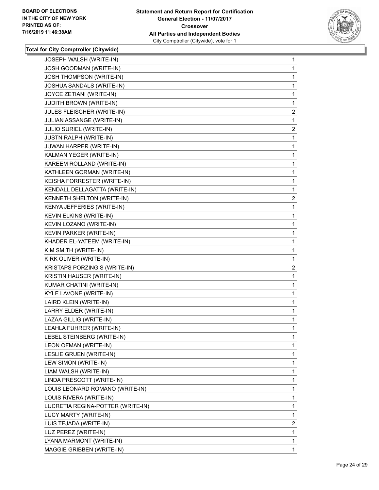

| JOSEPH WALSH (WRITE-IN)           | 1              |
|-----------------------------------|----------------|
| JOSH GOODMAN (WRITE-IN)           | 1              |
| JOSH THOMPSON (WRITE-IN)          | 1              |
| JOSHUA SANDALS (WRITE-IN)         | 1              |
| JOYCE ZETIANI (WRITE-IN)          | 1              |
| <b>JUDITH BROWN (WRITE-IN)</b>    | 1              |
| JULES FLEISCHER (WRITE-IN)        | $\overline{2}$ |
| JULIAN ASSANGE (WRITE-IN)         | 1              |
| JULIO SURIEL (WRITE-IN)           | $\overline{2}$ |
| <b>JUSTN RALPH (WRITE-IN)</b>     | 1              |
| JUWAN HARPER (WRITE-IN)           | 1              |
| KALMAN YEGER (WRITE-IN)           | 1              |
| KAREEM ROLLAND (WRITE-IN)         | 1              |
| KATHLEEN GORMAN (WRITE-IN)        | 1              |
| KEISHA FORRESTER (WRITE-IN)       | 1              |
| KENDALL DELLAGATTA (WRITE-IN)     | 1              |
| KENNETH SHELTON (WRITE-IN)        | $\overline{c}$ |
| KENYA JEFFERIES (WRITE-IN)        | 1              |
| KEVIN ELKINS (WRITE-IN)           | 1              |
| KEVIN LOZANO (WRITE-IN)           | 1              |
| KEVIN PARKER (WRITE-IN)           | 1              |
| KHADER EL-YATEEM (WRITE-IN)       | 1              |
| KIM SMITH (WRITE-IN)              | 1              |
| KIRK OLIVER (WRITE-IN)            | 1              |
| KRISTAPS PORZINGIS (WRITE-IN)     | $\overline{2}$ |
| KRISTIN HAUSER (WRITE-IN)         | 1              |
| KUMAR CHATINI (WRITE-IN)          | 1              |
| KYLE LAVONE (WRITE-IN)            | 1              |
| LAIRD KLEIN (WRITE-IN)            | 1              |
| LARRY ELDER (WRITE-IN)            | 1              |
| LAZAA GILLIG (WRITE-IN)           | 1              |
| LEAHLA FUHRER (WRITE-IN)          | 1              |
| LEBEL STEINBERG (WRITE-IN)        | 1              |
| LEON OFMAN (WRITE-IN)             | 1              |
| LESLIE GRUEN (WRITE-IN)           | 1              |
| LEW SIMON (WRITE-IN)              | 1              |
| LIAM WALSH (WRITE-IN)             | 1              |
| LINDA PRESCOTT (WRITE-IN)         | 1              |
| LOUIS LEONARD ROMANO (WRITE-IN)   | 1              |
| LOUIS RIVERA (WRITE-IN)           | 1              |
| LUCRETIA REGINA-POTTER (WRITE-IN) | 1              |
| LUCY MARTY (WRITE-IN)             | 1              |
| LUIS TEJADA (WRITE-IN)            | $\overline{2}$ |
| LUZ PEREZ (WRITE-IN)              | 1              |
| LYANA MARMONT (WRITE-IN)          | 1              |
| MAGGIE GRIBBEN (WRITE-IN)         | 1              |
|                                   |                |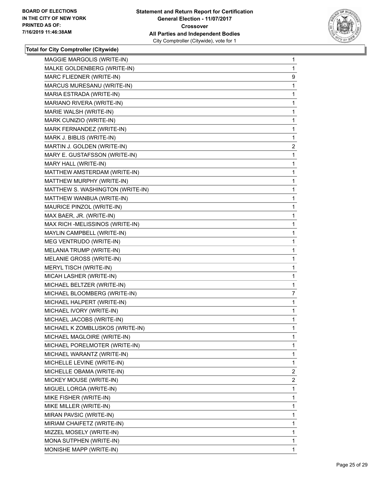

| MAGGIE MARGOLIS (WRITE-IN)       | $\mathbf{1}$   |
|----------------------------------|----------------|
| MALKE GOLDENBERG (WRITE-IN)      | 1              |
| MARC FLIEDNER (WRITE-IN)         | 9              |
| MARCUS MURESANU (WRITE-IN)       | 1              |
| MARIA ESTRADA (WRITE-IN)         | 1              |
| MARIANO RIVERA (WRITE-IN)        | 1              |
| MARIE WALSH (WRITE-IN)           | 1              |
| MARK CUNIZIO (WRITE-IN)          | 1              |
| MARK FERNANDEZ (WRITE-IN)        | 1              |
| MARK J. BIBLIS (WRITE-IN)        | 1              |
| MARTIN J. GOLDEN (WRITE-IN)      | $\overline{c}$ |
| MARY E. GUSTAFSSON (WRITE-IN)    | 1              |
| MARY HALL (WRITE-IN)             | 1              |
| MATTHEW AMSTERDAM (WRITE-IN)     | 1              |
| MATTHEW MURPHY (WRITE-IN)        | 1              |
| MATTHEW S. WASHINGTON (WRITE-IN) | 1              |
| MATTHEW WANBUA (WRITE-IN)        | 1              |
| MAURICE PINZOL (WRITE-IN)        | 1              |
| MAX BAER, JR. (WRITE-IN)         | 1              |
| MAX RICH - MELISSINOS (WRITE-IN) | 1              |
| MAYLIN CAMPBELL (WRITE-IN)       | 1              |
| MEG VENTRUDO (WRITE-IN)          | 1              |
| MELANIA TRUMP (WRITE-IN)         | 1              |
| MELANIE GROSS (WRITE-IN)         | 1              |
| MERYL TISCH (WRITE-IN)           | 1              |
| MICAH LASHER (WRITE-IN)          | 1              |
| MICHAEL BELTZER (WRITE-IN)       | 1              |
| MICHAEL BLOOMBERG (WRITE-IN)     | 7              |
| MICHAEL HALPERT (WRITE-IN)       | 1              |
| MICHAEL IVORY (WRITE-IN)         | 1              |
| MICHAEL JACOBS (WRITE-IN)        | 1              |
| MICHAEL K ZOMBLUSKOS (WRITE-IN)  | 1              |
| MICHAEL MAGLOIRE (WRITE-IN)      | 1              |
| MICHAEL PORELMOTER (WRITE-IN)    | 1              |
| MICHAEL WARANTZ (WRITE-IN)       | 1              |
| MICHELLE LEVINE (WRITE-IN)       | 1              |
| MICHELLE OBAMA (WRITE-IN)        | $\overline{2}$ |
| MICKEY MOUSE (WRITE-IN)          | 2              |
| MIGUEL LORGA (WRITE-IN)          | 1              |
| MIKE FISHER (WRITE-IN)           | 1              |
| MIKE MILLER (WRITE-IN)           | 1              |
| MIRAN PAVSIC (WRITE-IN)          | 1              |
| MIRIAM CHAIFETZ (WRITE-IN)       | 1              |
| MIZZEL MOSELY (WRITE-IN)         | 1              |
| MONA SUTPHEN (WRITE-IN)          | 1              |
| MONISHE MAPP (WRITE-IN)          | 1              |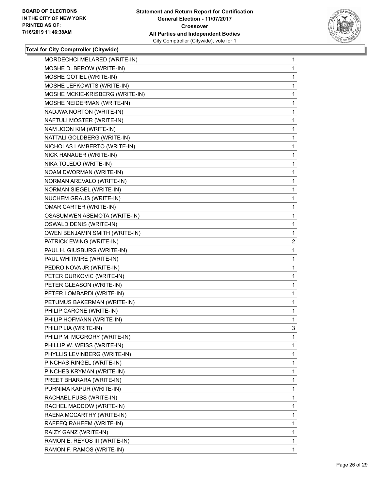

| MORDECHCI MELARED (WRITE-IN)    | 1  |
|---------------------------------|----|
| MOSHE D. BEROW (WRITE-IN)       | 1  |
| MOSHE GOTIEL (WRITE-IN)         | 1  |
| MOSHE LEFKOWITS (WRITE-IN)      | 1  |
| MOSHE MCKIE-KRISBERG (WRITE-IN) | 1  |
| MOSHE NEIDERMAN (WRITE-IN)      | 1  |
| NADJWA NORTON (WRITE-IN)        | 1  |
| NAFTULI MOSTER (WRITE-IN)       | 1  |
| NAM JOON KIM (WRITE-IN)         | 1  |
| NATTALI GOLDBERG (WRITE-IN)     | 1  |
| NICHOLAS LAMBERTO (WRITE-IN)    | 1  |
| NICK HANAUER (WRITE-IN)         | 1  |
| NIKA TOLEDO (WRITE-IN)          | 1  |
| NOAM DWORMAN (WRITE-IN)         | 1  |
| NORMAN AREVALO (WRITE-IN)       | 1  |
| NORMAN SIEGEL (WRITE-IN)        | 1  |
| NUCHEM GRAUS (WRITE-IN)         | 1  |
| <b>OMAR CARTER (WRITE-IN)</b>   | 1  |
| OSASUMWEN ASEMOTA (WRITE-IN)    | 1  |
| OSWALD DENIS (WRITE-IN)         | 1  |
| OWEN BENJAMIN SMITH (WRITE-IN)  | 1  |
| PATRICK EWING (WRITE-IN)        | 2  |
| PAUL H. GIUSBURG (WRITE-IN)     | 1  |
| PAUL WHITMIRE (WRITE-IN)        | 1  |
| PEDRO NOVA JR (WRITE-IN)        | 1  |
| PETER DURKOVIC (WRITE-IN)       | 1  |
| PETER GLEASON (WRITE-IN)        | 1  |
| PETER LOMBARDI (WRITE-IN)       | 1  |
| PETUMUS BAKERMAN (WRITE-IN)     | 1  |
| PHILIP CARONE (WRITE-IN)        | 1  |
| PHILIP HOFMANN (WRITE-IN)       | 1  |
| PHILIP LIA (WRITE-IN)           | 3  |
| PHILIP M. MCGRORY (WRITE-IN)    | 1  |
| PHILLIP W. WEISS (WRITE-IN)     | 1  |
| PHYLLIS LEVINBERG (WRITE-IN)    | 1  |
| PINCHAS RINGEL (WRITE-IN)       | 1  |
| PINCHES KRYMAN (WRITE-IN)       | 1  |
| PREET BHARARA (WRITE-IN)        | 1  |
| PURNIMA KAPUR (WRITE-IN)        | 1  |
| RACHAEL FUSS (WRITE-IN)         | 1  |
| RACHEL MADDOW (WRITE-IN)        | 1  |
| RAENA MCCARTHY (WRITE-IN)       | 1  |
| RAFEEQ RAHEEM (WRITE-IN)        | 1  |
| RAIZY GANZ (WRITE-IN)           | 1  |
| RAMON E. REYOS III (WRITE-IN)   | 1  |
| RAMON F. RAMOS (WRITE-IN)       | 1. |
|                                 |    |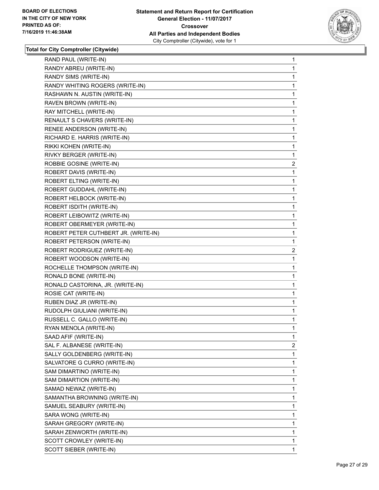

| RAND PAUL (WRITE-IN)                 | 1              |
|--------------------------------------|----------------|
| RANDY ABREU (WRITE-IN)               | 1              |
| RANDY SIMS (WRITE-IN)                | 1              |
| RANDY WHITING ROGERS (WRITE-IN)      | 1              |
| RASHAWN N. AUSTIN (WRITE-IN)         | 1              |
| RAVEN BROWN (WRITE-IN)               | 1              |
| RAY MITCHELL (WRITE-IN)              | 1              |
| RENAULT S CHAVERS (WRITE-IN)         | 1              |
| RENEE ANDERSON (WRITE-IN)            | 1              |
| RICHARD E. HARRIS (WRITE-IN)         | 1              |
| RIKKI KOHEN (WRITE-IN)               | 1              |
| RIVKY BERGER (WRITE-IN)              | 1              |
| ROBBIE GOSINE (WRITE-IN)             | $\overline{2}$ |
| ROBERT DAVIS (WRITE-IN)              | 1              |
| ROBERT ELTING (WRITE-IN)             | 1              |
| ROBERT GUDDAHL (WRITE-IN)            | 1              |
| ROBERT HELBOCK (WRITE-IN)            | 1              |
| ROBERT ISDITH (WRITE-IN)             | 1              |
| ROBERT LEIBOWITZ (WRITE-IN)          | 1              |
| ROBERT OBERMEYER (WRITE-IN)          | 1              |
| ROBERT PETER CUTHBERT JR. (WRITE-IN) | 1              |
| ROBERT PETERSON (WRITE-IN)           | 1              |
| ROBERT RODRIGUEZ (WRITE-IN)          | $\overline{a}$ |
| ROBERT WOODSON (WRITE-IN)            | 1              |
| ROCHELLE THOMPSON (WRITE-IN)         | 1              |
| RONALD BONE (WRITE-IN)               | 1              |
| RONALD CASTORINA, JR. (WRITE-IN)     | 1              |
| ROSIE CAT (WRITE-IN)                 | 1              |
| RUBEN DIAZ JR (WRITE-IN)             | 1              |
| RUDOLPH GIULIANI (WRITE-IN)          | 1              |
| RUSSELL C. GALLO (WRITE-IN)          | 1              |
| RYAN MENOLA (WRITE-IN)               | 1              |
| SAAD AFIF (WRITE-IN)                 | 1              |
| SAL F. ALBANESE (WRITE-IN)           | 2              |
| SALLY GOLDENBERG (WRITE-IN)          | 1              |
| SALVATORE G CURRO (WRITE-IN)         | 1              |
| SAM DIMARTINO (WRITE-IN)             | 1              |
| SAM DIMARTION (WRITE-IN)             | 1              |
| SAMAD NEWAZ (WRITE-IN)               | 1              |
| SAMANTHA BROWNING (WRITE-IN)         | 1              |
| SAMUEL SEABURY (WRITE-IN)            | 1              |
| SARA WONG (WRITE-IN)                 | 1              |
| SARAH GREGORY (WRITE-IN)             | 1              |
| SARAH ZENWORTH (WRITE-IN)            | 1              |
| SCOTT CROWLEY (WRITE-IN)             | 1              |
| SCOTT SIEBER (WRITE-IN)              | 1              |
|                                      |                |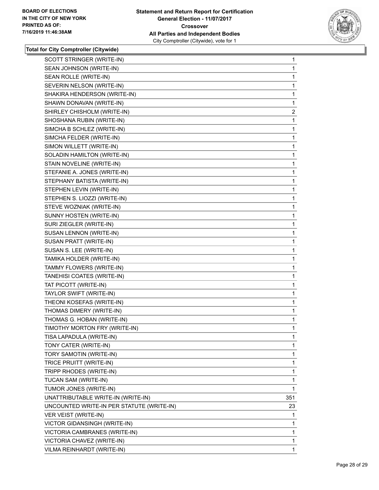

| SCOTT STRINGER (WRITE-IN)                 | 1   |
|-------------------------------------------|-----|
| SEAN JOHNSON (WRITE-IN)                   | 1   |
| SEAN ROLLE (WRITE-IN)                     | 1   |
| SEVERIN NELSON (WRITE-IN)                 | 1   |
| SHAKIRA HENDERSON (WRITE-IN)              | 1   |
| SHAWN DONAVAN (WRITE-IN)                  | 1   |
| SHIRLEY CHISHOLM (WRITE-IN)               | 2   |
| SHOSHANA RUBIN (WRITE-IN)                 | 1   |
| SIMCHA B SCHLEZ (WRITE-IN)                | 1   |
| SIMCHA FELDER (WRITE-IN)                  | 1   |
| SIMON WILLETT (WRITE-IN)                  | 1   |
| SOLADIN HAMILTON (WRITE-IN)               | 1   |
| STAIN NOVELINE (WRITE-IN)                 | 1   |
| STEFANIE A. JONES (WRITE-IN)              | 1   |
| STEPHANY BATISTA (WRITE-IN)               | 1   |
| STEPHEN LEVIN (WRITE-IN)                  | 1   |
| STEPHEN S. LIOZZI (WRITE-IN)              | 1   |
| STEVE WOZNIAK (WRITE-IN)                  | 1   |
| SUNNY HOSTEN (WRITE-IN)                   | 1   |
| SURI ZIEGLER (WRITE-IN)                   | 1   |
| SUSAN LENNON (WRITE-IN)                   | 1   |
| SUSAN PRATT (WRITE-IN)                    | 1   |
| SUSAN S. LEE (WRITE-IN)                   | 1   |
| TAMIKA HOLDER (WRITE-IN)                  | 1   |
| TAMMY FLOWERS (WRITE-IN)                  | 1   |
| TANEHISI COATES (WRITE-IN)                | 1   |
| TAT PICOTT (WRITE-IN)                     | 1   |
| TAYLOR SWIFT (WRITE-IN)                   | 1   |
| THEONI KOSEFAS (WRITE-IN)                 | 1   |
| THOMAS DIMERY (WRITE-IN)                  | 1   |
| THOMAS G. HOBAN (WRITE-IN)                | 1   |
| TIMOTHY MORTON FRY (WRITE-IN)             | 1   |
| TISA LAPADULA (WRITE-IN)                  | 1   |
| TONY CATER (WRITE-IN)                     | 1   |
| TORY SAMOTIN (WRITE-IN)                   | 1   |
| TRICE PRUITT (WRITE-IN)                   | 1   |
| TRIPP RHODES (WRITE-IN)                   | 1   |
| TUCAN SAM (WRITE-IN)                      | 1   |
| TUMOR JONES (WRITE-IN)                    | 1   |
| UNATTRIBUTABLE WRITE-IN (WRITE-IN)        | 351 |
| UNCOUNTED WRITE-IN PER STATUTE (WRITE-IN) | 23  |
| VER VEIST (WRITE-IN)                      | 1   |
| VICTOR GIDANSINGH (WRITE-IN)              | 1   |
| VICTORIA CAMBRANES (WRITE-IN)             | 1   |
| VICTORIA CHAVEZ (WRITE-IN)                | 1   |
| VILMA REINHARDT (WRITE-IN)                | 1   |